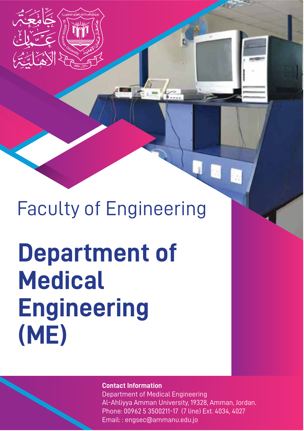

## Faculty of Engineering

# **Department of Medical Engineering (ME)**

#### **Contact Information**

Department of Medical Engineering Al-Ahliyya Amman University, 19328, Amman, Jordan. Phone: 00962 5 3500211-17 (7 line) Ext. 4034, 4027 Email: : engsec@ammanu.edu.jo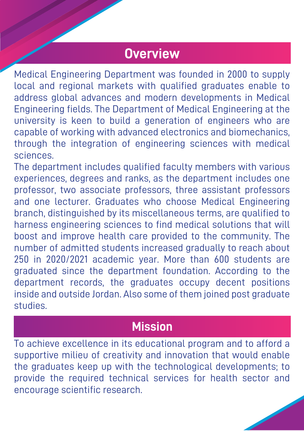### **Overview**

Medical Engineering Department was founded in 2000 to supply local and regional markets with qualified graduates enable to address global advances and modern developments in Medical Engineering fields. The Department of Medical Engineering at the university is keen to build a generation of engineers who are capable of working with advanced electronics and biomechanics, through the integration of engineering sciences with medical sciences.

The department includes qualified faculty members with various experiences, degrees and ranks, as the department includes one professor, two associate professors, three assistant professors and one lecturer. Graduates who choose Medical Engineering branch, distinguished by its miscellaneous terms, are qualified to harness engineering sciences to find medical solutions that will boost and improve health care provided to the community. The number of admitted students increased gradually to reach about 250 in 2020/2021 academic year. More than 600 students are graduated since the department foundation. According to the department records, the graduates occupy decent positions inside and outside Jordan. Also some of them joined post graduate studies.

#### **Mission**

To achieve excellence in its educational program and to afford a supportive milieu of creativity and innovation that would enable the graduates keep up with the technological developments; to provide the required technical services for health sector and encourage scientific research.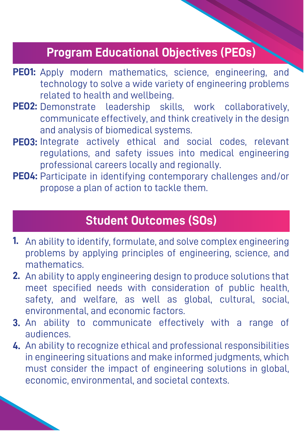#### **Program Educational Objectives (PEOs)**

- PEO1: Apply modern mathematics, science, engineering, and technology to solve a wide variety of engineering problems related to health and wellbeing.
- **PEO2:** Demonstrate leadership skills, work collaboratively, communicate effectively, and think creatively in the design and analysis of biomedical systems.
- **PEO3:**  Integrate actively ethical and social codes, relevant regulations, and safety issues into medical engineering professional careers locally and regionally.
- PEO4: Participate in identifying contemporary challenges and/or propose a plan of action to tackle them.

#### **Student Outcomes (SOs)**

- **1.**  An ability to identify, formulate, and solve complex engineering problems by applying principles of engineering, science, and mathematics.
- **2.** An ability to apply engineering design to produce solutions that meet specified needs with consideration of public health, safety, and welfare, as well as global, cultural, social, environmental, and economic factors.
- **3.** An ability to communicate effectively with a range of audiences.
- **4.** An ability to recognize ethical and professional responsibilities in engineering situations and make informed judgments, which must consider the impact of engineering solutions in global, economic, environmental, and societal contexts.